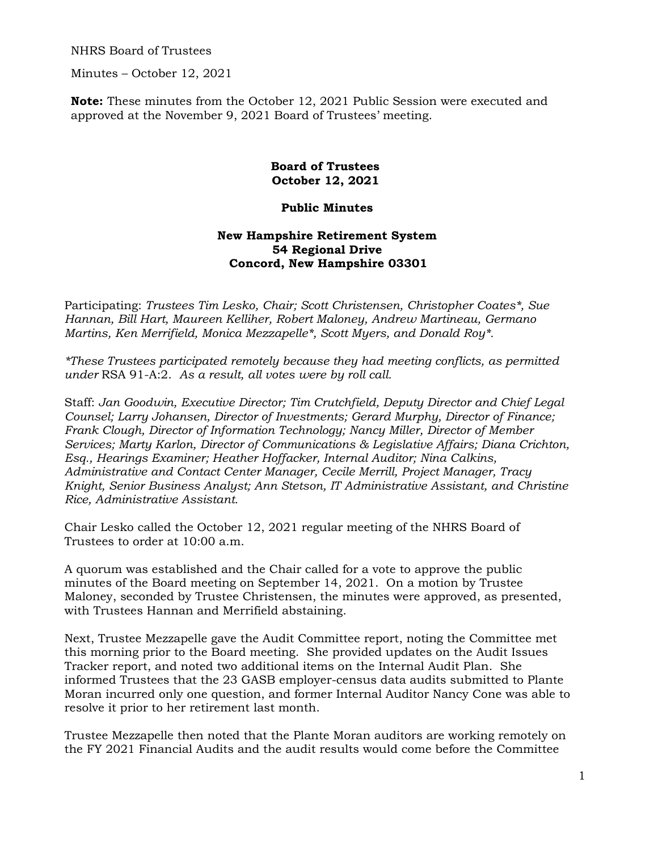NHRS Board of Trustees

Minutes – October 12, 2021

**Note:** These minutes from the October 12, 2021 Public Session were executed and approved at the November 9, 2021 Board of Trustees' meeting.

## **Board of Trustees October 12, 2021**

## **Public Minutes**

## **New Hampshire Retirement System 54 Regional Drive Concord, New Hampshire 03301**

Participating: *Trustees Tim Lesko, Chair; Scott Christensen, Christopher Coates\*, Sue Hannan, Bill Hart, Maureen Kelliher, Robert Maloney, Andrew Martineau, Germano Martins, Ken Merrifield, Monica Mezzapelle\*, Scott Myers, and Donald Roy\*.* 

*\*These Trustees participated remotely because they had meeting conflicts, as permitted under* RSA 91-A:2. *As a result, all votes were by roll call.* 

Staff: *Jan Goodwin, Executive Director; Tim Crutchfield, Deputy Director and Chief Legal Counsel; Larry Johansen, Director of Investments; Gerard Murphy, Director of Finance; Frank Clough, Director of Information Technology; Nancy Miller, Director of Member Services; Marty Karlon, Director of Communications & Legislative Affairs; Diana Crichton, Esq., Hearings Examiner; Heather Hoffacker, Internal Auditor; Nina Calkins, Administrative and Contact Center Manager, Cecile Merrill, Project Manager, Tracy Knight, Senior Business Analyst; Ann Stetson, IT Administrative Assistant, and Christine Rice, Administrative Assistant.* 

Chair Lesko called the October 12, 2021 regular meeting of the NHRS Board of Trustees to order at 10:00 a.m.

A quorum was established and the Chair called for a vote to approve the public minutes of the Board meeting on September 14, 2021. On a motion by Trustee Maloney, seconded by Trustee Christensen, the minutes were approved, as presented, with Trustees Hannan and Merrifield abstaining.

Next, Trustee Mezzapelle gave the Audit Committee report, noting the Committee met this morning prior to the Board meeting. She provided updates on the Audit Issues Tracker report, and noted two additional items on the Internal Audit Plan. She informed Trustees that the 23 GASB employer-census data audits submitted to Plante Moran incurred only one question, and former Internal Auditor Nancy Cone was able to resolve it prior to her retirement last month.

Trustee Mezzapelle then noted that the Plante Moran auditors are working remotely on the FY 2021 Financial Audits and the audit results would come before the Committee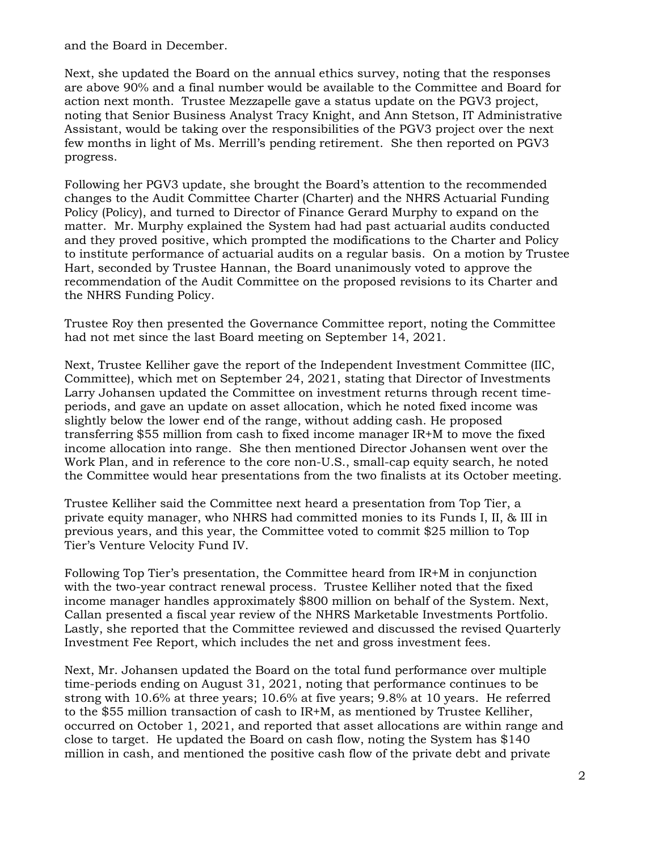and the Board in December.

Next, she updated the Board on the annual ethics survey, noting that the responses are above 90% and a final number would be available to the Committee and Board for action next month. Trustee Mezzapelle gave a status update on the PGV3 project, noting that Senior Business Analyst Tracy Knight, and Ann Stetson, IT Administrative Assistant, would be taking over the responsibilities of the PGV3 project over the next few months in light of Ms. Merrill's pending retirement. She then reported on PGV3 progress.

Following her PGV3 update, she brought the Board's attention to the recommended changes to the Audit Committee Charter (Charter) and the NHRS Actuarial Funding Policy (Policy), and turned to Director of Finance Gerard Murphy to expand on the matter. Mr. Murphy explained the System had had past actuarial audits conducted and they proved positive, which prompted the modifications to the Charter and Policy to institute performance of actuarial audits on a regular basis. On a motion by Trustee Hart, seconded by Trustee Hannan, the Board unanimously voted to approve the recommendation of the Audit Committee on the proposed revisions to its Charter and the NHRS Funding Policy.

Trustee Roy then presented the Governance Committee report, noting the Committee had not met since the last Board meeting on September 14, 2021.

Next, Trustee Kelliher gave the report of the Independent Investment Committee (IIC, Committee), which met on September 24, 2021, stating that Director of Investments Larry Johansen updated the Committee on investment returns through recent timeperiods, and gave an update on asset allocation, which he noted fixed income was slightly below the lower end of the range, without adding cash. He proposed transferring \$55 million from cash to fixed income manager IR+M to move the fixed income allocation into range. She then mentioned Director Johansen went over the Work Plan, and in reference to the core non-U.S., small-cap equity search, he noted the Committee would hear presentations from the two finalists at its October meeting.

Trustee Kelliher said the Committee next heard a presentation from Top Tier, a private equity manager, who NHRS had committed monies to its Funds I, II, & III in previous years, and this year, the Committee voted to commit \$25 million to Top Tier's Venture Velocity Fund IV.

Following Top Tier's presentation, the Committee heard from IR+M in conjunction with the two-year contract renewal process. Trustee Kelliher noted that the fixed income manager handles approximately \$800 million on behalf of the System. Next, Callan presented a fiscal year review of the NHRS Marketable Investments Portfolio. Lastly, she reported that the Committee reviewed and discussed the revised Quarterly Investment Fee Report, which includes the net and gross investment fees.

Next, Mr. Johansen updated the Board on the total fund performance over multiple time-periods ending on August 31, 2021, noting that performance continues to be strong with 10.6% at three years; 10.6% at five years; 9.8% at 10 years. He referred to the \$55 million transaction of cash to IR+M, as mentioned by Trustee Kelliher, occurred on October 1, 2021, and reported that asset allocations are within range and close to target. He updated the Board on cash flow, noting the System has \$140 million in cash, and mentioned the positive cash flow of the private debt and private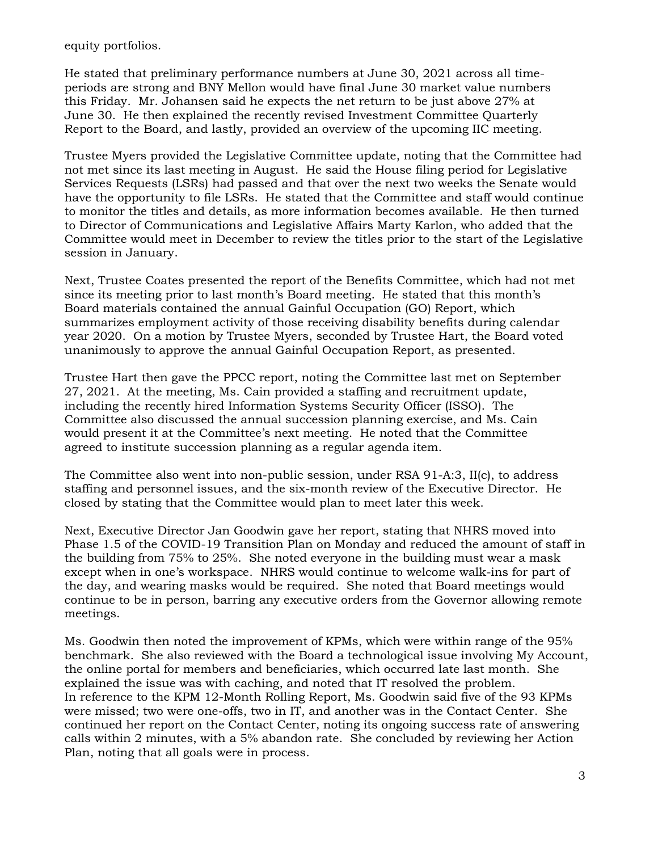equity portfolios.

He stated that preliminary performance numbers at June 30, 2021 across all timeperiods are strong and BNY Mellon would have final June 30 market value numbers this Friday. Mr. Johansen said he expects the net return to be just above 27% at June 30. He then explained the recently revised Investment Committee Quarterly Report to the Board, and lastly, provided an overview of the upcoming IIC meeting.

Trustee Myers provided the Legislative Committee update, noting that the Committee had not met since its last meeting in August. He said the House filing period for Legislative Services Requests (LSRs) had passed and that over the next two weeks the Senate would have the opportunity to file LSRs. He stated that the Committee and staff would continue to monitor the titles and details, as more information becomes available. He then turned to Director of Communications and Legislative Affairs Marty Karlon, who added that the Committee would meet in December to review the titles prior to the start of the Legislative session in January.

Next, Trustee Coates presented the report of the Benefits Committee, which had not met since its meeting prior to last month's Board meeting. He stated that this month's Board materials contained the annual Gainful Occupation (GO) Report, which summarizes employment activity of those receiving disability benefits during calendar year 2020. On a motion by Trustee Myers, seconded by Trustee Hart, the Board voted unanimously to approve the annual Gainful Occupation Report, as presented.

Trustee Hart then gave the PPCC report, noting the Committee last met on September 27, 2021. At the meeting, Ms. Cain provided a staffing and recruitment update, including the recently hired Information Systems Security Officer (ISSO). The Committee also discussed the annual succession planning exercise, and Ms. Cain would present it at the Committee's next meeting. He noted that the Committee agreed to institute succession planning as a regular agenda item.

The Committee also went into non-public session, under RSA 91-A:3, II(c), to address staffing and personnel issues, and the six-month review of the Executive Director. He closed by stating that the Committee would plan to meet later this week.

Next, Executive Director Jan Goodwin gave her report, stating that NHRS moved into Phase 1.5 of the COVID-19 Transition Plan on Monday and reduced the amount of staff in the building from 75% to 25%. She noted everyone in the building must wear a mask except when in one's workspace. NHRS would continue to welcome walk-ins for part of the day, and wearing masks would be required. She noted that Board meetings would continue to be in person, barring any executive orders from the Governor allowing remote meetings.

Ms. Goodwin then noted the improvement of KPMs, which were within range of the 95% benchmark. She also reviewed with the Board a technological issue involving My Account, the online portal for members and beneficiaries, which occurred late last month. She explained the issue was with caching, and noted that IT resolved the problem. In reference to the KPM 12-Month Rolling Report, Ms. Goodwin said five of the 93 KPMs were missed; two were one-offs, two in IT, and another was in the Contact Center. She continued her report on the Contact Center, noting its ongoing success rate of answering calls within 2 minutes, with a 5% abandon rate. She concluded by reviewing her Action Plan, noting that all goals were in process.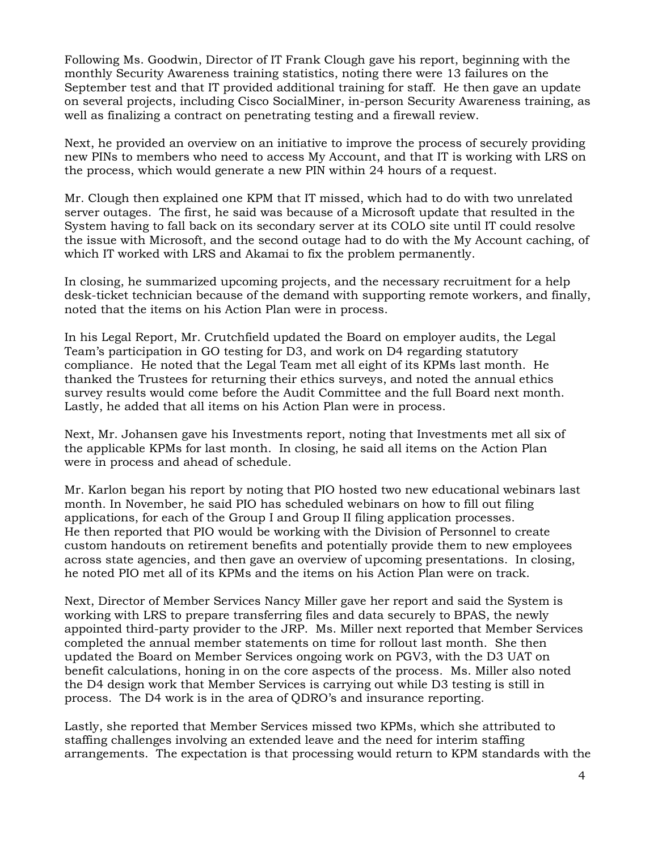Following Ms. Goodwin, Director of IT Frank Clough gave his report, beginning with the monthly Security Awareness training statistics, noting there were 13 failures on the September test and that IT provided additional training for staff. He then gave an update on several projects, including Cisco SocialMiner, in-person Security Awareness training, as well as finalizing a contract on penetrating testing and a firewall review.

Next, he provided an overview on an initiative to improve the process of securely providing new PINs to members who need to access My Account, and that IT is working with LRS on the process, which would generate a new PIN within 24 hours of a request.

Mr. Clough then explained one KPM that IT missed, which had to do with two unrelated server outages. The first, he said was because of a Microsoft update that resulted in the System having to fall back on its secondary server at its COLO site until IT could resolve the issue with Microsoft, and the second outage had to do with the My Account caching, of which IT worked with LRS and Akamai to fix the problem permanently.

In closing, he summarized upcoming projects, and the necessary recruitment for a help desk-ticket technician because of the demand with supporting remote workers, and finally, noted that the items on his Action Plan were in process.

In his Legal Report, Mr. Crutchfield updated the Board on employer audits, the Legal Team's participation in GO testing for D3, and work on D4 regarding statutory compliance. He noted that the Legal Team met all eight of its KPMs last month. He thanked the Trustees for returning their ethics surveys, and noted the annual ethics survey results would come before the Audit Committee and the full Board next month. Lastly, he added that all items on his Action Plan were in process.

Next, Mr. Johansen gave his Investments report, noting that Investments met all six of the applicable KPMs for last month. In closing, he said all items on the Action Plan were in process and ahead of schedule.

Mr. Karlon began his report by noting that PIO hosted two new educational webinars last month. In November, he said PIO has scheduled webinars on how to fill out filing applications, for each of the Group I and Group II filing application processes. He then reported that PIO would be working with the Division of Personnel to create custom handouts on retirement benefits and potentially provide them to new employees across state agencies, and then gave an overview of upcoming presentations. In closing, he noted PIO met all of its KPMs and the items on his Action Plan were on track.

Next, Director of Member Services Nancy Miller gave her report and said the System is working with LRS to prepare transferring files and data securely to BPAS, the newly appointed third-party provider to the JRP. Ms. Miller next reported that Member Services completed the annual member statements on time for rollout last month. She then updated the Board on Member Services ongoing work on PGV3, with the D3 UAT on benefit calculations, honing in on the core aspects of the process. Ms. Miller also noted the D4 design work that Member Services is carrying out while D3 testing is still in process. The D4 work is in the area of QDRO's and insurance reporting.

Lastly, she reported that Member Services missed two KPMs, which she attributed to staffing challenges involving an extended leave and the need for interim staffing arrangements. The expectation is that processing would return to KPM standards with the